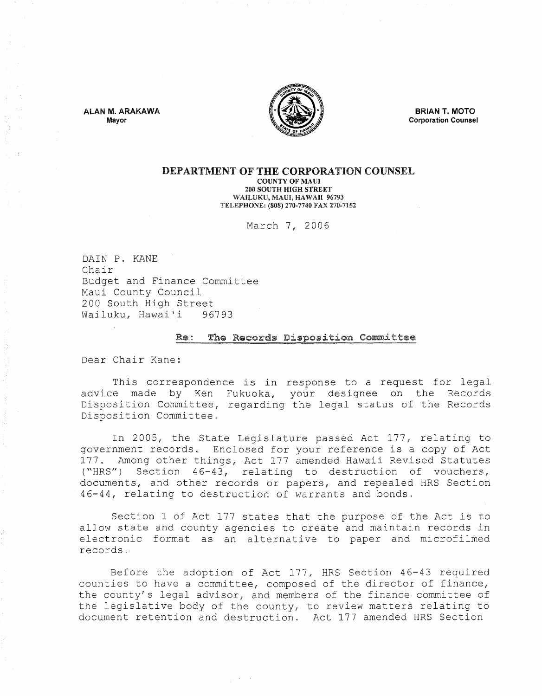ALAN M. ARAKAWA Mayor



BRIAN T. MOTO Corporation Counsel

# DEPARTMENT OF THE CORPORATION COUNSEL

COUNTY OF MAUl 200 SOUTH HIGH STREET WAILUKU, MAUl, HAWAiI 96793 TELEPHONE: (808) 270-7740 FAX 270-7152

March 7, 2006

DAIN P. KANE Chair Budget and Finance Committee Maui County Council 200 South High Street<br>Wailuku, Hawai'i 96793 Wailuku, Hawai'i

#### Re : The Records Disposition Committee

Dear Chair Kane:

This correspondence is in response to a request for legal advice made by Ken Fukuoka, your designee on the Records Disposition Committee, regarding the legal status of the Records Disposition Committee.

In 2005, the State Legislature passed Act 177, relating to government records. Enclosed for your reference is a copy of Act 177. Among other things, Act 177 amended Hawaii Revised Statutes ("HRS") Section  $46-43$ , relating to destruction of vouchers, documents, and other records or papers, and repealed HRS Section 4 44, relating to destruction of warrants and bonds,

Section 1 of Act 177 states that the purpose of the Act is to allow state and county agencies to create and maintain records in electronic format as an alternative to paper and microfilmed records,

Before the adoption of Act 177, HRS Section 46-43 required counties to have a committee, composed of the director of finance, the county's legal advisor, and members of the finance committee of the legislative body of the county, to review matters relating to document retention and destruction. Act 177 amended HRS Section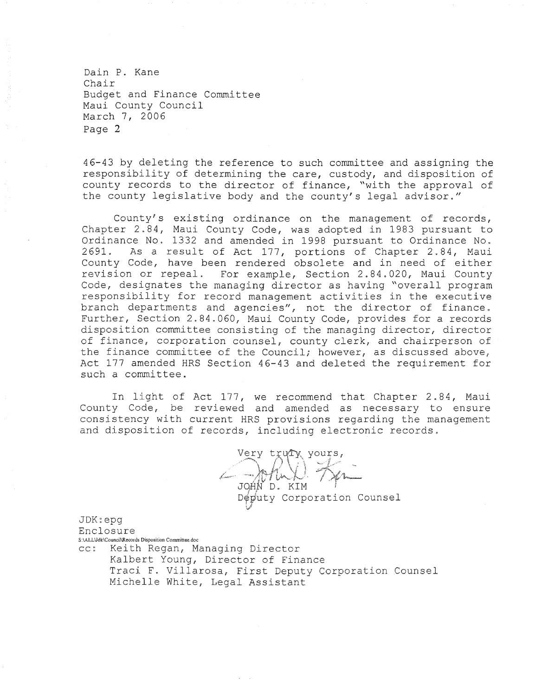Dain P. Kane Chair Budget and Finance Committee Maui County Council March 7, 2006 Page 2

46-43 by deleting the reference to such committee and assigning the responsibility of determining the care, custody, and disposition of county records to the director of finance, "with the approval of the county legislative body and the county's legal advisor."

County's existing ordinance on the management of records, Chapter 2.84, Maui County Code, was adopted in 1983 pursuant to Ordinance No. 1332 and amended in 1998 pursuant to Ordinance No. 2691. As a result of Act 177, portions of Chapter 2.84, Maui County Code, have been rendered obsolete and in need of either revision or repeal. For example, Section 2.84.020, Maui County Code, designates the managing director as having "overall program responsibility for record management activities in the execut branch departments and agencies", not the director of finance. Further, Section 2.84.060, Maui County Code, provides for a records disposition committee consisting of the managing director, director of finance, corporation counsel, county clerk, and chairperson of the finance committee of the Council; however, as discussed above, Act 177 amended HRS Section 46-43 and deleted the requirement for such a committee.

In light of Act 177, we recommend that Chapter 2.84, Maui County Code, be reviewed and amended as necessary to ensure consistency with current HRS provisions regarding the management and disposition of records, including electronic records.

\1~~,y t / , '~)~,>\ , ' ) *',i'* \. " 1\ :'It'l,'(') \,! i '''',. ',,' *:i:'* ~"," Ii ¥>~ ,I.." ,,:, ':'V V ""j' ~'" JOAN D. KIM Députy Corporation Counsel 'J

JDK~epg Enclosure S:\ALLVdk\Council\Records Disposition Committee,doc cc: Keith Regan, Managing Director

Kalbert Young, Director of Finance Traci F. Villarosa, First Deputy Corporation Counsel Michelle White, Legal Assistant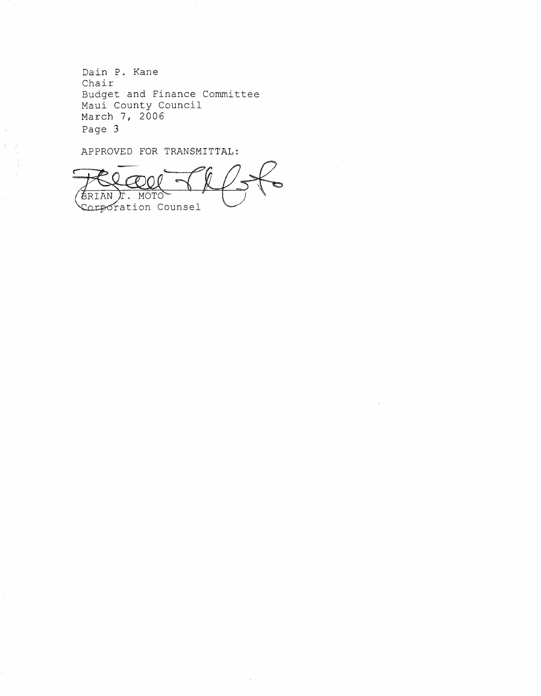Dain P. Kane Chair Budget and Finance Committee Maui County Council March 7, 2006 Page 3

APPROVED FOR TRANSMITTAL:

Page 3<br>APPROVED FOR TRANSMITTAL:<br>COLORED COUNTY COMPOTATION COUNSEL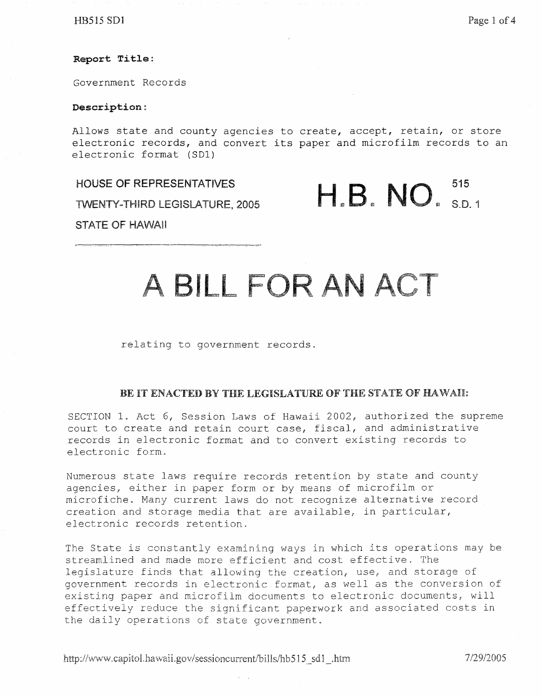$H\text{B}515 \text{ SD1}$  Page 1 of 4

# **Report** Title:

Government Records

# Description:

Allows state and county agencies to create, accept, retain, or store electronic records, and convert its paper and microfilm records to an electronic format (SOl)

HOUSE OF REPRESENTATIVES

TWENTY-THIRD LEGISLATURE, 2005

H.B. NO. 515

## STATE OF HAWAII

# A BILL FOR AN ACT

relating to government records.

# BE IT ENACTED BY THE LEGISLATURE OF THE STATE OF HAWAII:

SECTION 1. Act 6, Session Laws of Hawaii 2002, authorized the supreme court to create and retain court case, fiscal, and administrative records in electronic format and to convert existing records to electronic form.

Numerous state laws require records retention by state and county agencies, either in paper form or by means of microfilm or microfiche. Many current laws do not recognize alternative record creation and storage media that are available, in particular, electronic records retention.

The State is constantly examining ways in which its operations may be streamlined and made more efficient and cost effective. The legislature finds that allowing the creation, use, and storage of government records in electronic format, as well as the conversion of existing paper and microfilm documents to electronic documents, will effectively reduce the significant paperwork and associated costs in the daily operations of state government.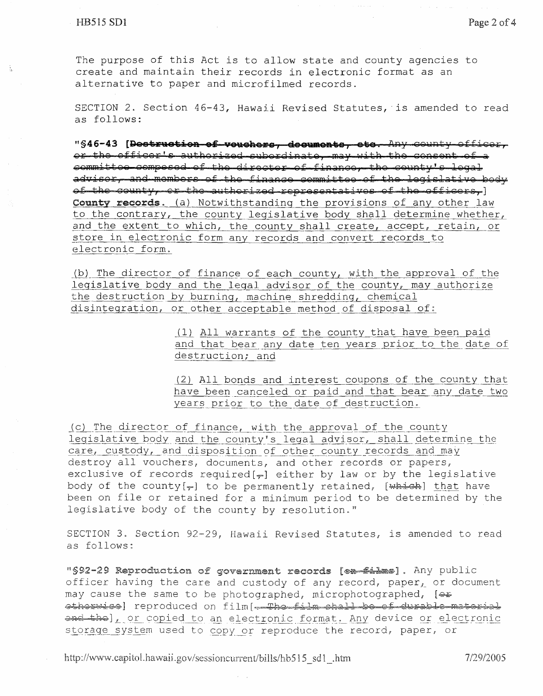$\frac{1}{2}$ 

The purpose of this Act is to allow state and county agencies to create and maintain their records in electronic format as an alternative to paper and microfilmed records.

SECTION 2. Section 46-43, Hawaii Revised Statutes, is amended to read as follows:

**"§46-43 [);)eeis .. \f:eisiea as TJ!8l:lel:ie1E'S, Eiee1H&e&iss, eise.** Z'.tny o 91'):1;):t l' 9ffig9lY, or the officer's authorized subordinate, may with the consent of a committee compesed of the director of finance, the county's legal advisor, and members of the finance committee of the legislative body of the county, or the authorized representatives of the officers,]<br>County records. (a) Notwithstanding the provisions of any other law to the contrary, the county legislative body shall determine whether, and the extent to which, the county shall create, accept, retain, or store in electronic form any records and convert records to electronic form.

(b) The director of finance of each county, with the approval of the legislative body and the legal advisor of the county, may authorize the destruction by burning, machine shredding, chemical disintegration, or other acceptable method of disposal of:

> (1) All warrants of the county that have been paid and that bear any date ten years prior to the date of destruction; and

> (2) All bonds and interest coupons of the county that have been canceled or paid and that bear any date two years prior to the date of destruction.

(c) The director of finance, with the approval of the county legislative body and the county's legal advisor, shall determine the care, custody, and disposition of other county records and may<br>destroy all vouchers, documents, and other records or papers, exclusive of records required [ $\tau$ ] either by law or by the legislative body of the county  $[\overline{r}]$  to be permanently retained,  $[\overline{wh+ch}]$  that have been on file or retained for a minimum period to be determined by the legislative body of the county by resolution."

SECTION 3. Section 92-29, Hawaii Revised Statutes, is amended to read as follows:

"\$92-29 Reproduction of government records [en-filme]. Any public officer having the care and custody of any record, paper, or document may cause the same to be photographed, microphotographed,  $[...]$ etherwise reproduced on film[-The film shall be of durable material and the ], or copied to an electronic format. Any device or electronic storage system used to copy or reproduce the record, paper, or

http://www.capitol.hawaii.gov/sessioncurrent/bills/hb515 sd1 .htm 7/29/2005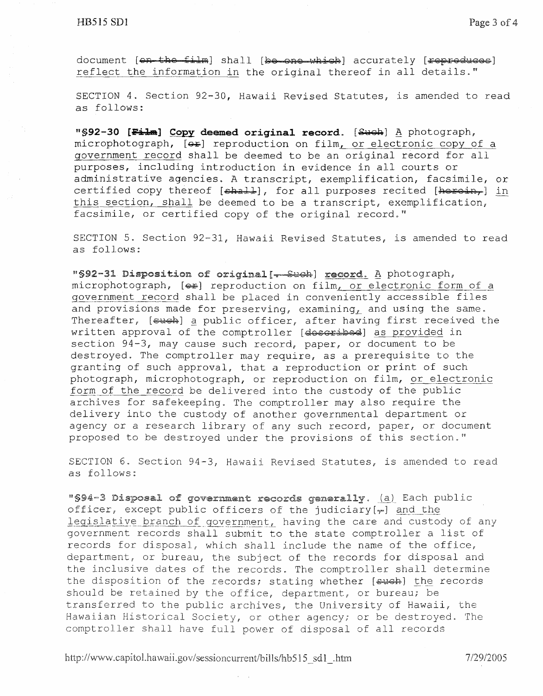document [en the film] shall [be one which] accurately [repreduces] reflect the information in the original thereof in all details."

SECTION 4. Section 92-30, Hawaii Revised Statutes, is amended to read as follows:

"§92-30 [Film] Copy deemed original record. [Such] A photograph, microphotograph,  $[4]$  reproduction on film, or electronic copy of a government record shall be deemed to be an original record for all purposes, including introduction in evidence in all courts or administrative agencies. A transcript, exemplification, facsimile, or certified copy thereof [shall], for all purposes recited [heroin,] in this section, shall be deemed to be a transcript, exemplification, facsimile, or certified copy of the original record."

SECTION 5. Section 92-31, Hawaii Revised Statutes, is amended to read as follows:

"§92-31 Disposition of original[-Such] record. A photograph, microphotograph,  $[4]$  reproduction on film, or electronic form of a government record shall be placed in conveniently accessible files and provisions made for preserving, examining, and using the same. Thereafter, [such] a public officer, after having first received the written approval of the comptroller [described] as provided in section 94-3, may cause such record, paper, or document to be destroyed. The comptroller may require, as a prerequisite to the granting of such approval, that a reproduction or print of such photograph, microphotograph, or reproduction on film, or electronic form of the record be delivered into the custody of the public archives for safekeeping. The comptroller may also require the delivery into the custody of another governmental department or agency or a research library of any such record, paper, or document proposed to be destroyed under the provisions of this section."

SECTION 6. Section 94-3, Hawaii Revised Statutes, is amended to read as follows:

of government records generally. (a) Each public officer, except public officers of the judiciary[ $\psi$ ] and the legislative branch of government, having the care and custody of any government records shall submit to the state comptroller a list of records for disposal, which shall include the name of the office, department, or bureau, the subject of the records for disposal and the inclusive dates of the records. The comptroller shall determine the disposition of the records; stating whether  $[ **ewch** ]$  the records should be retained by the office, department, or bureau; be transferred to the public archives, the University of Hawaii, the Hawaiian Historical Society, or other agency; or be destroyed. The comptroller shall have full power of disposal of all records

http://www.capitol.hawaii.gov/sessioncurrent/bills/hb515\_sd1\_.htm